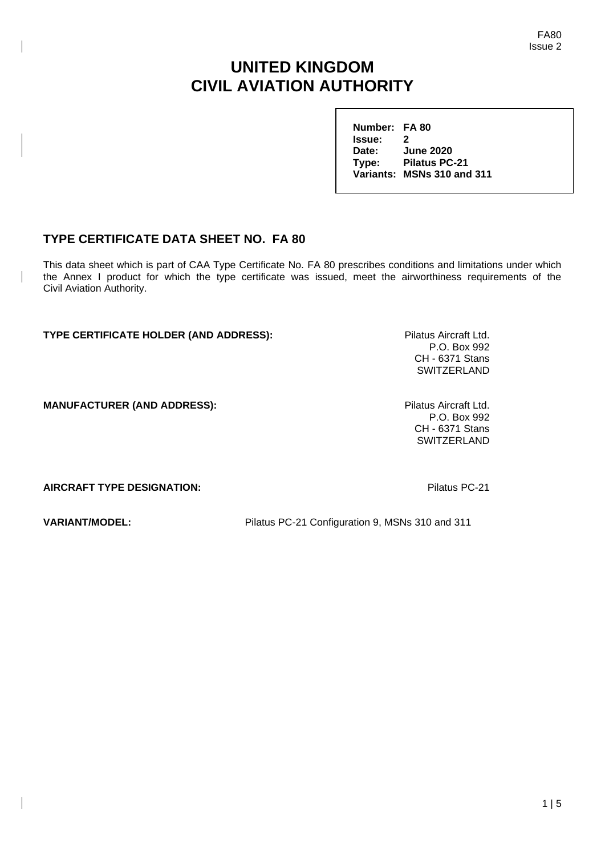FA80 Issue 2

# **UNITED KINGDOM CIVIL AVIATION AUTHORITY**

**Number: FA 80 Issue: 2 Date: June 2020 Type: Pilatus PC-21 Variants: MSNs 310 and 311**

# **TYPE CERTIFICATE DATA SHEET NO. FA 80**

This data sheet which is part of CAA Type Certificate No. FA 80 prescribes conditions and limitations under which the Annex I product for which the type certificate was issued, meet the airworthiness requirements of the Civil Aviation Authority.

**TYPE CERTIFICATE HOLDER (AND ADDRESS):** Pilatus Aircraft Ltd.

P.O. Box 992 CH - 6371 Stans **SWITZERLAND** 

**MANUFACTURER (AND ADDRESS):** Pilatus Aircraft Ltd.

P.O. Box 992 CH - 6371 Stans **SWITZERLAND** 

**AIRCRAFT TYPE DESIGNATION:** Pilatus PC-21

**VARIANT/MODEL:** Pilatus PC-21 Configuration 9, MSNs 310 and 311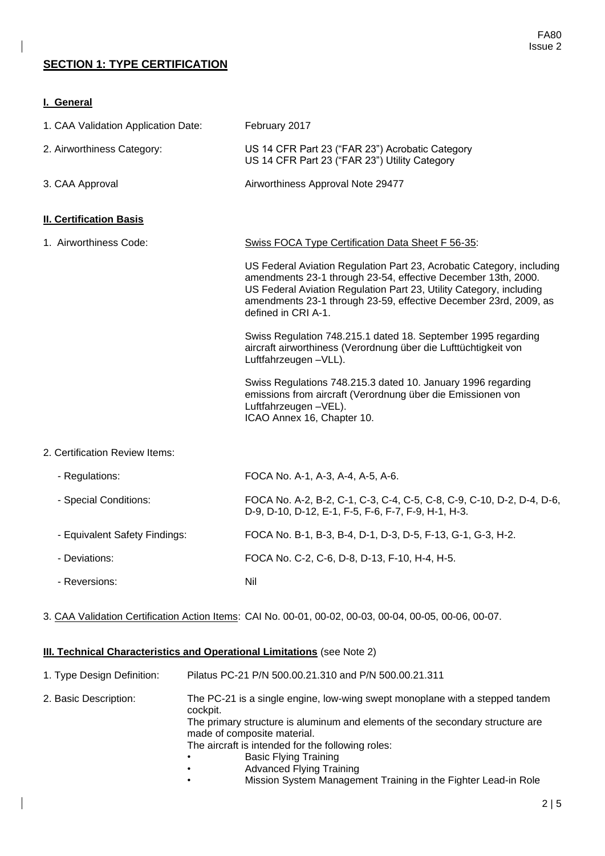## **SECTION 1: TYPE CERTIFICATION**

**I. General**

| 1. CAA Validation Application Date: | February 2017                                                                                                                                                                                                                                                                                            |
|-------------------------------------|----------------------------------------------------------------------------------------------------------------------------------------------------------------------------------------------------------------------------------------------------------------------------------------------------------|
| 2. Airworthiness Category:          | US 14 CFR Part 23 ("FAR 23") Acrobatic Category<br>US 14 CFR Part 23 ("FAR 23") Utility Category                                                                                                                                                                                                         |
| 3. CAA Approval                     | Airworthiness Approval Note 29477                                                                                                                                                                                                                                                                        |
| <b>II. Certification Basis</b>      |                                                                                                                                                                                                                                                                                                          |
| 1. Airworthiness Code:              | <b>Swiss FOCA Type Certification Data Sheet F 56-35:</b>                                                                                                                                                                                                                                                 |
|                                     | US Federal Aviation Regulation Part 23, Acrobatic Category, including<br>amendments 23-1 through 23-54, effective December 13th, 2000.<br>US Federal Aviation Regulation Part 23, Utility Category, including<br>amendments 23-1 through 23-59, effective December 23rd, 2009, as<br>defined in CRI A-1. |
|                                     | Swiss Regulation 748.215.1 dated 18. September 1995 regarding<br>aircraft airworthiness (Verordnung über die Lufttüchtigkeit von<br>Luftfahrzeugen - VLL).                                                                                                                                               |
|                                     | Swiss Regulations 748.215.3 dated 10. January 1996 regarding<br>emissions from aircraft (Verordnung über die Emissionen von<br>Luftfahrzeugen -VEL).<br>ICAO Annex 16, Chapter 10.                                                                                                                       |
| 2. Certification Review Items:      |                                                                                                                                                                                                                                                                                                          |

| - Regulations:                | FOCA No. A-1, A-3, A-4, A-5, A-6.                                                                                            |
|-------------------------------|------------------------------------------------------------------------------------------------------------------------------|
| - Special Conditions:         | FOCA No. A-2, B-2, C-1, C-3, C-4, C-5, C-8, C-9, C-10, D-2, D-4, D-6,<br>D-9, D-10, D-12, E-1, F-5, F-6, F-7, F-9, H-1, H-3. |
| - Equivalent Safety Findings: | FOCA No. B-1, B-3, B-4, D-1, D-3, D-5, F-13, G-1, G-3, H-2.                                                                  |
| - Deviations:                 | FOCA No. C-2, C-6, D-8, D-13, F-10, H-4, H-5.                                                                                |
| - Reversions:                 | Nil                                                                                                                          |

3. CAA Validation Certification Action Items: CAI No. 00-01, 00-02, 00-03, 00-04, 00-05, 00-06, 00-07.

#### **III. Technical Characteristics and Operational Limitations** (see Note 2)

| 1. Type Design Definition: | Pilatus PC-21 P/N 500.00.21.310 and P/N 500.00.21.311                                                                                                                                                                                                                                                                                 |
|----------------------------|---------------------------------------------------------------------------------------------------------------------------------------------------------------------------------------------------------------------------------------------------------------------------------------------------------------------------------------|
| 2. Basic Description:      | The PC-21 is a single engine, low-wing swept monoplane with a stepped tandem<br>cockpit.<br>The primary structure is aluminum and elements of the secondary structure are<br>made of composite material.<br>The aircraft is intended for the following roles:<br><b>Basic Flying Training</b><br><b>Advanced Flying Training</b><br>٠ |

• Mission System Management Training in the Fighter Lead-in Role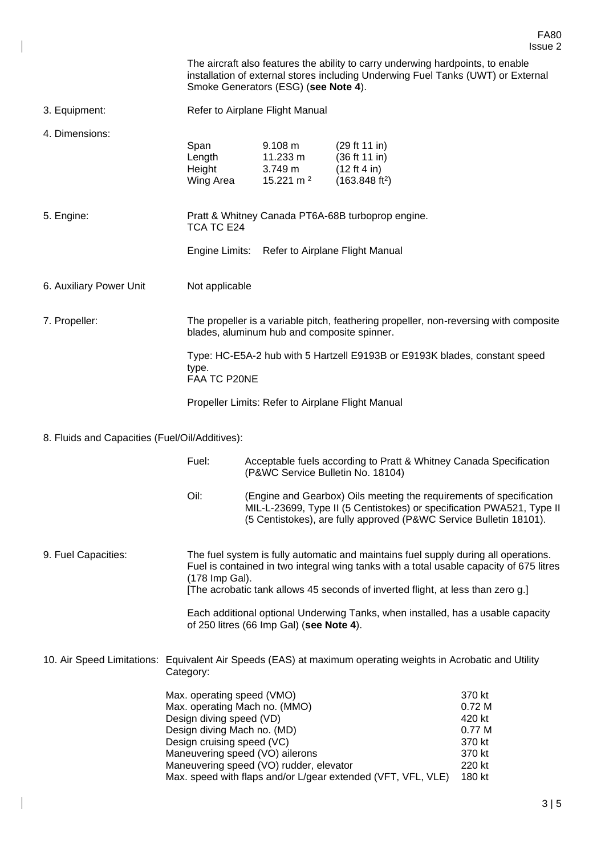|                                                |                                                                                                                                                                                                                                    |                                                         |                                                                                                                                                                                                                                                                   | Issue 2                                                                     |
|------------------------------------------------|------------------------------------------------------------------------------------------------------------------------------------------------------------------------------------------------------------------------------------|---------------------------------------------------------|-------------------------------------------------------------------------------------------------------------------------------------------------------------------------------------------------------------------------------------------------------------------|-----------------------------------------------------------------------------|
|                                                |                                                                                                                                                                                                                                    | Smoke Generators (ESG) (see Note 4).                    | The aircraft also features the ability to carry underwing hardpoints, to enable<br>installation of external stores including Underwing Fuel Tanks (UWT) or External                                                                                               |                                                                             |
| 3. Equipment:                                  |                                                                                                                                                                                                                                    | Refer to Airplane Flight Manual                         |                                                                                                                                                                                                                                                                   |                                                                             |
| 4. Dimensions:                                 | Span<br>Length<br>Height<br>Wing Area                                                                                                                                                                                              | 9.108 m<br>11.233 m<br>3.749 m<br>15.221 m <sup>2</sup> | (29 ft 11 in)<br>(36 ft 11 in)<br>(12 ft 4 in)<br>(163.848 ft <sup>2</sup> )                                                                                                                                                                                      |                                                                             |
| 5. Engine:                                     | Pratt & Whitney Canada PT6A-68B turboprop engine.<br>TCA TC E24                                                                                                                                                                    |                                                         |                                                                                                                                                                                                                                                                   |                                                                             |
|                                                | Engine Limits:                                                                                                                                                                                                                     |                                                         | Refer to Airplane Flight Manual                                                                                                                                                                                                                                   |                                                                             |
| 6. Auxiliary Power Unit                        | Not applicable                                                                                                                                                                                                                     |                                                         |                                                                                                                                                                                                                                                                   |                                                                             |
| 7. Propeller:                                  | The propeller is a variable pitch, feathering propeller, non-reversing with composite<br>blades, aluminum hub and composite spinner.                                                                                               |                                                         |                                                                                                                                                                                                                                                                   |                                                                             |
|                                                | type.<br>FAA TC P20NE                                                                                                                                                                                                              |                                                         | Type: HC-E5A-2 hub with 5 Hartzell E9193B or E9193K blades, constant speed                                                                                                                                                                                        |                                                                             |
|                                                |                                                                                                                                                                                                                                    | Propeller Limits: Refer to Airplane Flight Manual       |                                                                                                                                                                                                                                                                   |                                                                             |
| 8. Fluids and Capacities (Fuel/Oil/Additives): |                                                                                                                                                                                                                                    |                                                         |                                                                                                                                                                                                                                                                   |                                                                             |
|                                                | Fuel:                                                                                                                                                                                                                              | (P&WC Service Bulletin No. 18104)                       | Acceptable fuels according to Pratt & Whitney Canada Specification                                                                                                                                                                                                |                                                                             |
|                                                | Oil:                                                                                                                                                                                                                               |                                                         | (Engine and Gearbox) Oils meeting the requirements of specification<br>MIL-L-23699, Type II (5 Centistokes) or specification PWA521, Type II<br>(5 Centistokes), are fully approved (P&WC Service Bulletin 18101).                                                |                                                                             |
| 9. Fuel Capacities:                            | (178 Imp Gal).                                                                                                                                                                                                                     |                                                         | The fuel system is fully automatic and maintains fuel supply during all operations.<br>Fuel is contained in two integral wing tanks with a total usable capacity of 675 litres<br>[The acrobatic tank allows 45 seconds of inverted flight, at less than zero g.] |                                                                             |
|                                                |                                                                                                                                                                                                                                    | of 250 litres (66 Imp Gal) (see Note 4).                | Each additional optional Underwing Tanks, when installed, has a usable capacity                                                                                                                                                                                   |                                                                             |
|                                                | Category:                                                                                                                                                                                                                          |                                                         | 10. Air Speed Limitations: Equivalent Air Speeds (EAS) at maximum operating weights in Acrobatic and Utility                                                                                                                                                      |                                                                             |
|                                                | Max. operating speed (VMO)<br>Max. operating Mach no. (MMO)<br>Design diving speed (VD)<br>Design diving Mach no. (MD)<br>Design cruising speed (VC)<br>Maneuvering speed (VO) ailerons<br>Maneuvering speed (VO) rudder, elevator |                                                         | Max. speed with flaps and/or L/gear extended (VFT, VFL, VLE)                                                                                                                                                                                                      | 370 kt<br>0.72M<br>420 kt<br>0.77 M<br>370 kt<br>370 kt<br>220 kt<br>180 kt |

 $\overline{\phantom{a}}$ 

 $\begin{array}{c} \hline \end{array}$ 

FA80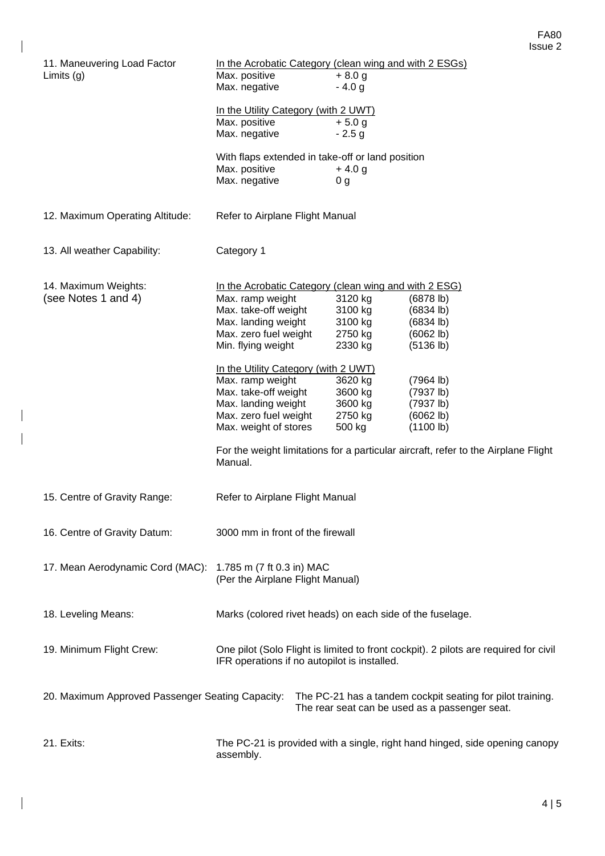| 11. Maneuvering Load Factor                      | In the Acrobatic Category (clean wing and with 2 ESGs)        |  |                   |                                                                                      |
|--------------------------------------------------|---------------------------------------------------------------|--|-------------------|--------------------------------------------------------------------------------------|
| Limits $(g)$                                     | Max. positive                                                 |  | $+8.0 g$          |                                                                                      |
|                                                  | Max. negative                                                 |  | $-4.0 g$          |                                                                                      |
|                                                  |                                                               |  |                   |                                                                                      |
|                                                  | In the Utility Category (with 2 UWT)                          |  |                   |                                                                                      |
|                                                  | Max. positive                                                 |  | $+5.0 g$          |                                                                                      |
|                                                  | Max. negative                                                 |  | $-2.5g$           |                                                                                      |
|                                                  | With flaps extended in take-off or land position              |  |                   |                                                                                      |
|                                                  | Max. positive                                                 |  | $+4.0 g$          |                                                                                      |
|                                                  | Max. negative                                                 |  | 0 <sub>g</sub>    |                                                                                      |
|                                                  |                                                               |  |                   |                                                                                      |
| 12. Maximum Operating Altitude:                  | Refer to Airplane Flight Manual                               |  |                   |                                                                                      |
| 13. All weather Capability:                      | Category 1                                                    |  |                   |                                                                                      |
|                                                  |                                                               |  |                   |                                                                                      |
| 14. Maximum Weights:                             | In the Acrobatic Category (clean wing and with 2 ESG)         |  |                   |                                                                                      |
| (see Notes 1 and 4)                              | Max. ramp weight                                              |  | 3120 kg           | (6878 lb)                                                                            |
|                                                  | Max. take-off weight                                          |  | 3100 kg           | (6834 lb)                                                                            |
|                                                  | Max. landing weight                                           |  | 3100 kg           | (6834 lb)                                                                            |
|                                                  | Max. zero fuel weight                                         |  | 2750 kg           | (6062 lb)                                                                            |
|                                                  | Min. flying weight                                            |  | 2330 kg           | (5136 lb)                                                                            |
|                                                  | In the Utility Category (with 2 UWT)                          |  |                   |                                                                                      |
|                                                  | Max. ramp weight                                              |  | 3620 kg           | (7964 lb)                                                                            |
|                                                  | Max. take-off weight                                          |  | 3600 kg           | (7937 lb)                                                                            |
|                                                  |                                                               |  |                   |                                                                                      |
|                                                  | Max. landing weight                                           |  | 3600 kg           | (7937 lb)                                                                            |
|                                                  | Max. zero fuel weight<br>Max. weight of stores                |  | 2750 kg<br>500 kg | (6062 lb)<br>(1100 lb)                                                               |
|                                                  |                                                               |  |                   | For the weight limitations for a particular aircraft, refer to the Airplane Flight   |
|                                                  | Manual.                                                       |  |                   |                                                                                      |
| 15. Centre of Gravity Range:                     | Refer to Airplane Flight Manual                               |  |                   |                                                                                      |
|                                                  |                                                               |  |                   |                                                                                      |
| 16. Centre of Gravity Datum:                     | 3000 mm in front of the firewall                              |  |                   |                                                                                      |
|                                                  |                                                               |  |                   |                                                                                      |
|                                                  |                                                               |  |                   |                                                                                      |
| 17. Mean Aerodynamic Cord (MAC):                 | 1.785 m (7 ft 0.3 in) MAC<br>(Per the Airplane Flight Manual) |  |                   |                                                                                      |
|                                                  |                                                               |  |                   |                                                                                      |
|                                                  |                                                               |  |                   |                                                                                      |
| 18. Leveling Means:                              | Marks (colored rivet heads) on each side of the fuselage.     |  |                   |                                                                                      |
|                                                  |                                                               |  |                   |                                                                                      |
| 19. Minimum Flight Crew:                         |                                                               |  |                   | One pilot (Solo Flight is limited to front cockpit). 2 pilots are required for civil |
|                                                  | IFR operations if no autopilot is installed.                  |  |                   |                                                                                      |
|                                                  |                                                               |  |                   |                                                                                      |
| 20. Maximum Approved Passenger Seating Capacity: |                                                               |  |                   | The PC-21 has a tandem cockpit seating for pilot training.                           |
|                                                  |                                                               |  |                   | The rear seat can be used as a passenger seat.                                       |
|                                                  |                                                               |  |                   |                                                                                      |
| 21. Exits:                                       |                                                               |  |                   | The PC-21 is provided with a single, right hand hinged, side opening canopy          |
|                                                  | assembly.                                                     |  |                   |                                                                                      |

 $\overline{\phantom{a}}$ 

 $\overline{\phantom{a}}$ 

 $\begin{array}{c} \hline \end{array}$ 

 $\overline{\phantom{a}}$